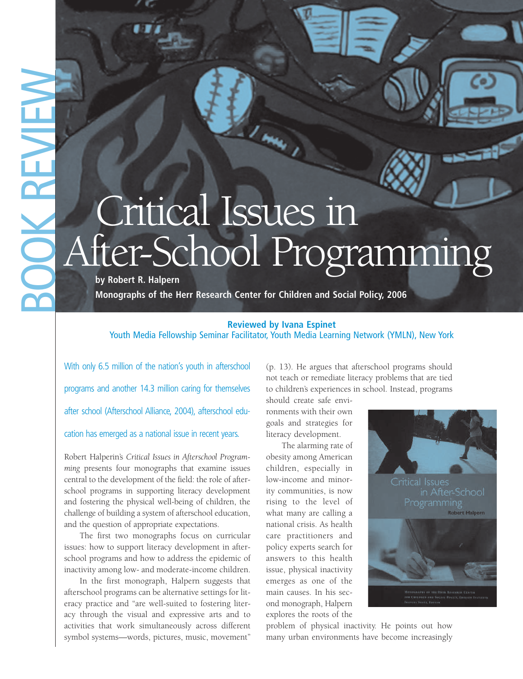## Critical Issues in After-School Programming

**Monographs of the Herr Research Center for Children and Social Policy, 2006** 

## **Reviewed by Ivana Espinet**

Youth Media Fellowship Seminar Facilitator, Youth Media Learning Network (YMLN), New York

With only 6.5 million of the nation's youth in afterschool programs and another 14.3 million caring for themselves after school (Afterschool Alliance, 2004), afterschool education has emerged as a national issue in recent years.

Robert Halperin's *Critical Issues in Afterschool Programming* presents four monographs that examine issues central to the development of the field: the role of afterschool programs in supporting literacy development and fostering the physical well-being of children, the challenge of building a system of afterschool education, and the question of appropriate expectations.

The first two monographs focus on curricular issues: how to support literacy development in afterschool programs and how to address the epidemic of inactivity among low- and moderate-income children.

In the first monograph, Halpern suggests that afterschool programs can be alternative settings for literacy practice and "are well-suited to fostering literacy through the visual and expressive arts and to activities that work simultaneously across different symbol systems—words, pictures, music, movement"

(p. 13). He argues that afterschool programs should not teach or remediate literacy problems that are tied to children's experiences in school. Instead, programs

should create safe environments with their own goals and strategies for literacy development.

The alarming rate of obesity among American children, especially in low-income and minority communities, is now rising to the level of what many are calling a national crisis. As health care practitioners and policy experts search for answers to this health issue, physical inactivity emerges as one of the main causes. In his second monograph, Halpern explores the roots of the



problem of physical inactivity. He points out how many urban environments have become increasingly